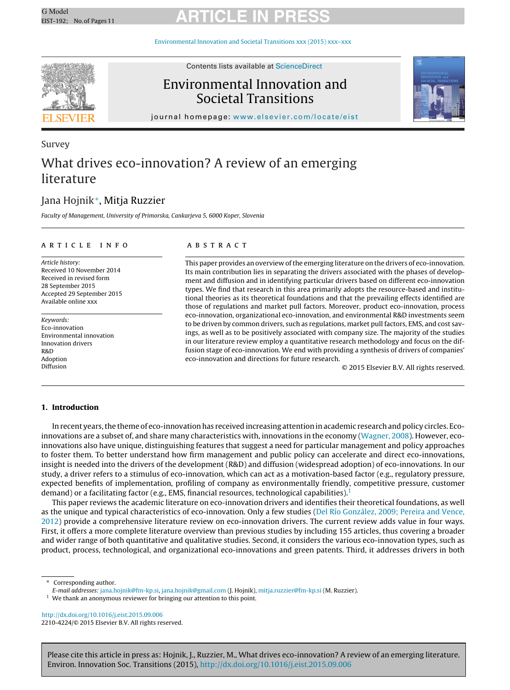# G Model G Model **ARTICLE IN PRESS**

[Environmental](dx.doi.org/10.1016/j.eist.2015.09.006) Innovation and Societal Transitions xxx (2015) xxx–xxx



Contents lists available at [ScienceDirect](http://www.sciencedirect.com/science/journal/22104224)

## Environmental Innovation and Societal Transitions



journal homepage: [www.elsevier.com/locate/eist](http://www.elsevier.com/locate/eist)

## Survey What drives eco-innovation? A review of an emerging literature

### Jana Hojnik∗, Mitja Ruzzier

Faculty of Management, University of Primorska, Cankarjeva 5, 6000 Koper, Slovenia

#### a r t i c l e i n f o

Article history: Received 10 November 2014 Received in revised form 28 September 2015 Accepted 29 September 2015 Available online xxx

Keywords: Eco-innovation Environmental innovation Innovation drivers R&D Adoption Diffusion

#### A B S T R A C T

This paper provides an overview of the emerging literature on the drivers of eco-innovation. Its main contribution lies in separating the drivers associated with the phases of development and diffusion and in identifying particular drivers based on different eco-innovation types. We find that research in this area primarily adopts the resource-based and institutional theories as its theoretical foundations and that the prevailing effects identified are those of regulations and market pull factors. Moreover, product eco-innovation, process eco-innovation, organizational eco-innovation, and environmental R&D investments seem to be driven by common drivers, such as regulations, market pull factors, EMS, and cost savings, as well as to be positively associated with company size. The majority of the studies in our literature review employ a quantitative research methodology and focus on the diffusion stage of eco-innovation. We end with providing a synthesis of drivers of companies' eco-innovation and directions for future research.

© 2015 Elsevier B.V. All rights reserved.

#### **1. Introduction**

In recent years,the theme of eco-innovation has received increasing attention in academic research and policy circles. Ecoinnovations are a subset of, and share many characteristics with, innovations in the economy [\(Wagner,](#page--1-0) [2008\).](#page--1-0) However, ecoinnovations also have unique, distinguishing features that suggest a need for particular management and policy approaches to foster them. To better understand how firm management and public policy can accelerate and direct eco-innovations, insight is needed into the drivers of the development (R&D) and diffusion (widespread adoption) of eco-innovations. In our study, a driver refers to a stimulus of eco-innovation, which can act as a motivation-based factor (e.g., regulatory pressure, expected benefits of implementation, profiling of company as environmentally friendly, competitive pressure, customer demand) or a facilitating factor (e.g., EMS, financial resources, technological capabilities).<sup>1</sup>

This paper reviews the academic literature on eco-innovation drivers and identifies their theoretical foundations, as well as the unique and typical characteristics of eco-innovation. Only a few studies ([Del](#page--1-0) [Río](#page--1-0) [González,](#page--1-0) [2009;](#page--1-0) [Pereira](#page--1-0) [and](#page--1-0) [Vence,](#page--1-0) [2012\)](#page--1-0) provide a comprehensive literature review on eco-innovation drivers. The current review adds value in four ways. First, it offers a more complete literature overview than previous studies by including 155 articles, thus covering a broader and wider range of both quantitative and qualitative studies. Second, it considers the various eco-innovation types, such as product, process, technological, and organizational eco-innovations and green patents. Third, it addresses drivers in both

Corresponding author.

E-mail addresses: [jana.hojnik@fm-kp.si](mailto:jana.hojnik@fm-kp.si), [jana.hojnik@gmail.com](mailto:jana.hojnik@gmail.com) (J. Hojnik), [mitja.ruzzier@fm-kp.si](mailto:mitja.ruzzier@fm-kp.si) (M. Ruzzier).

<sup>1</sup> We thank an anonymous reviewer for bringing our attention to this point.

[http://dx.doi.org/10.1016/j.eist.2015.09.006](dx.doi.org/10.1016/j.eist.2015.09.006) 2210-4224/© 2015 Elsevier B.V. All rights reserved.

Please cite this article in press as: Hojnik, J., Ruzzier, M., What drives eco-innovation? A review of an emerging literature. Environ. Innovation Soc. Transitions (2015), [http://dx.doi.org/10.1016/j.eist.2015.09.006](dx.doi.org/10.1016/j.eist.2015.09.006)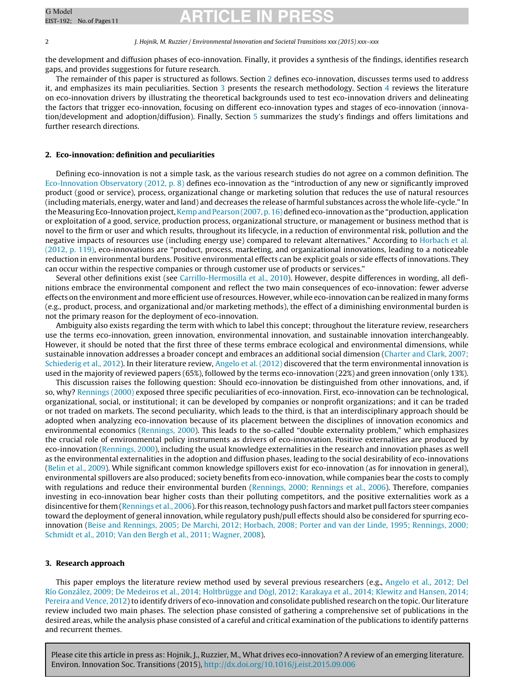# G Model **ARTICLE IN PRESS**

#### 2 J. Hojnik, M. Ruzzier / Environmental Innovation and Societal Transitions xxx (2015) xxx–xxx

the development and diffusion phases of eco-innovation. Finally, it provides a synthesis of the findings, identifies research gaps, and provides suggestions for future research.

The remainder of this paper is structured as follows. Section 2 defines eco-innovation, discusses terms used to address it, and emphasizes its main peculiarities. Section 3 presents the research methodology. Section [4](#page--1-0) reviews the literature on eco-innovation drivers by illustrating the theoretical backgrounds used to test eco-innovation drivers and delineating the factors that trigger eco-innovation, focusing on different eco-innovation types and stages of eco-innovation (innovation/development and adoption/diffusion). Finally, Section [5](#page--1-0) summarizes the study's findings and offers limitations and further research directions.

#### **2. Eco-innovation: definition and peculiarities**

Defining eco-innovation is not a simple task, as the various research studies do not agree on a common definition. The [Eco-Innovation](#page--1-0) [Observatory](#page--1-0) [\(2012,](#page--1-0) [p.](#page--1-0) [8\)](#page--1-0) defines eco-innovation as the "introduction of any new or significantly improved product (good or service), process, organizational change or marketing solution that reduces the use of natural resources (including materials, energy, water and land) and decreases the release of harmful substances across the whole life-cycle." In the Measuring Eco-Innovation project, Kemp and Pearson (2007, p. [16\)d](#page--1-0)efined eco-innovation as the "production, application or exploitation of a good, service, production process, organizational structure, or management or business method that is novel to the firm or user and which results, throughout its lifecycle, in a reduction of environmental risk, pollution and the negative impacts of resources use (including energy use) compared to relevant alternatives." According to [Horbach](#page--1-0) et [al.](#page--1-0) [\(2012,](#page--1-0) [p.](#page--1-0) [119\),](#page--1-0) eco-innovations are "product, process, marketing, and organizational innovations, leading to a noticeable reduction in environmental burdens. Positive environmental effects can be explicit goals or side effects of innovations. They can occur within the respective companies or through customer use of products or services."

Several other definitions exist (see [Carrillo-Hermosilla](#page--1-0) et [al.,](#page--1-0) [2010\).](#page--1-0) However, despite differences in wording, all definitions embrace the environmental component and reflect the two main consequences of eco-innovation: fewer adverse effects on the environment and more efficient use of resources. However, while eco-innovation can be realized in many forms (e.g., product, process, and organizational and/or marketing methods), the effect of a diminishing environmental burden is not the primary reason for the deployment of eco-innovation.

Ambiguity also exists regarding the term with which to label this concept; throughout the literature review, researchers use the terms eco-innovation, green innovation, environmental innovation, and sustainable innovation interchangeably. However, it should be noted that the first three of these terms embrace ecological and environmental dimensions, while sustainable innovation addresses a broader concept and embraces an additional social dimension ([Charter](#page--1-0) [and](#page--1-0) [Clark,](#page--1-0) [2007;](#page--1-0) [Schiederig](#page--1-0) et [al.,](#page--1-0) [2012\).](#page--1-0) In their literature review, [Angelo](#page--1-0) et [al.](#page--1-0) [\(2012\)](#page--1-0) discovered that the term environmental innovation is used in the majority of reviewed papers (65%), followed by the terms eco-innovation (22%) and green innovation (only 13%).

This discussion raises the following question: Should eco-innovation be distinguished from other innovations, and, if so, why? [Rennings](#page--1-0) [\(2000\)](#page--1-0) exposed three specific peculiarities of eco-innovation. First, eco-innovation can be technological, organizational, social, or institutional; it can be developed by companies or nonprofit organizations; and it can be traded or not traded on markets. The second peculiarity, which leads to the third, is that an interdisciplinary approach should be adopted when analyzing eco-innovation because of its placement between the disciplines of innovation economics and environmental economics [\(Rennings,](#page--1-0) [2000\).](#page--1-0) This leads to the so-called "double externality problem," which emphasizes the crucial role of environmental policy instruments as drivers of eco-innovation. Positive externalities are produced by eco-innovation ([Rennings,](#page--1-0) [2000\),](#page--1-0) including the usual knowledge externalities in the research and innovation phases as well as the environmental externalities in the adoption and diffusion phases, leading to the social desirability of eco-innovations [\(Belin](#page--1-0) et [al.,](#page--1-0) [2009\).](#page--1-0) While significant common knowledge spillovers exist for eco-innovation (as for innovation in general), environmental spillovers are also produced; society benefits from eco-innovation, while companies bear the costs to comply with regulations and reduce their environmental burden [\(Rennings,](#page--1-0) [2000;](#page--1-0) [Rennings](#page--1-0) et [al.,](#page--1-0) [2006\).](#page--1-0) Therefore, companies investing in eco-innovation bear higher costs than their polluting competitors, and the positive externalities work as a disincentive for them ([Rennings](#page--1-0) et [al.,](#page--1-0) [2006\).](#page--1-0) For this reason, technology push factors and market pull factors steer companies toward the deployment of general innovation, while regulatory push/pull effects should also be considered for spurring ecoinnovation [\(Beise](#page--1-0) [and](#page--1-0) [Rennings,](#page--1-0) [2005;](#page--1-0) [De](#page--1-0) [Marchi,](#page--1-0) [2012;](#page--1-0) [Horbach,](#page--1-0) [2008;](#page--1-0) [Porter](#page--1-0) [and](#page--1-0) [van](#page--1-0) [der](#page--1-0) [Linde,](#page--1-0) [1995;](#page--1-0) [Rennings,](#page--1-0) [2000;](#page--1-0) [Schmidt](#page--1-0) et [al.,](#page--1-0) [2010;](#page--1-0) [Van](#page--1-0) [den](#page--1-0) [Bergh](#page--1-0) et [al.,](#page--1-0) [2011;](#page--1-0) [Wagner,](#page--1-0) [2008\).](#page--1-0)

#### **3. Research approach**

This paper employs the literature review method used by several previous researchers (e.g., [Angelo](#page--1-0) et [al.,](#page--1-0) [2012;](#page--1-0) [Del](#page--1-0) [Río](#page--1-0) [González,](#page--1-0) [2009;](#page--1-0) [De](#page--1-0) [Medeiros](#page--1-0) et [al.,](#page--1-0) [2014;](#page--1-0) [Holtbrügge](#page--1-0) [and](#page--1-0) [Dögl,](#page--1-0) [2012;](#page--1-0) [Karakaya](#page--1-0) et [al.,](#page--1-0) [2014;](#page--1-0) [Klewitz](#page--1-0) [and](#page--1-0) [Hansen,](#page--1-0) [2014;](#page--1-0) [Pereira](#page--1-0) [and](#page--1-0) [Vence,](#page--1-0) [2012\)](#page--1-0) to identify drivers of eco-innovation and consolidate published research on the topic. Our literature review included two main phases. The selection phase consisted of gathering a comprehensive set of publications in the desired areas, while the analysis phase consisted of a careful and critical examination of the publications to identify patterns and recurrent themes.

Please cite this article in press as: Hojnik, J., Ruzzier, M., What drives eco-innovation? A review of an emerging literature. Environ. Innovation Soc. Transitions (2015), [http://dx.doi.org/10.1016/j.eist.2015.09.006](dx.doi.org/10.1016/j.eist.2015.09.006)